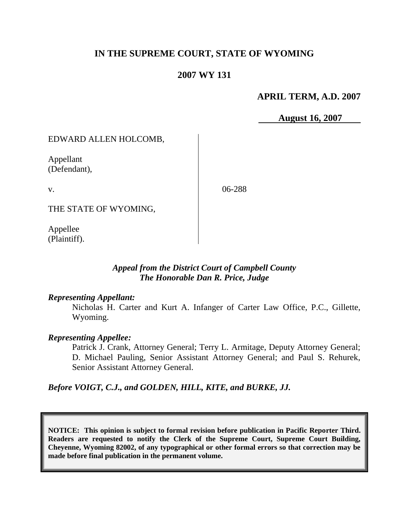# **IN THE SUPREME COURT, STATE OF WYOMING**

## **2007 WY 131**

## **APRIL TERM, A.D. 2007**

 **August 16, 2007**

EDWARD ALLEN HOLCOMB,

Appellant (Defendant),

v.

06-288

THE STATE OF WYOMING,

Appellee (Plaintiff).

### *Appeal from the District Court of Campbell County The Honorable Dan R. Price, Judge*

#### *Representing Appellant:*

Nicholas H. Carter and Kurt A. Infanger of Carter Law Office, P.C., Gillette, Wyoming.

#### *Representing Appellee:*

Patrick J. Crank, Attorney General; Terry L. Armitage, Deputy Attorney General; D. Michael Pauling, Senior Assistant Attorney General; and Paul S. Rehurek, Senior Assistant Attorney General.

*Before VOIGT, C.J., and GOLDEN, HILL, KITE, and BURKE, JJ.*

**NOTICE: This opinion is subject to formal revision before publication in Pacific Reporter Third. Readers are requested to notify the Clerk of the Supreme Court, Supreme Court Building, Cheyenne, Wyoming 82002, of any typographical or other formal errors so that correction may be made before final publication in the permanent volume.**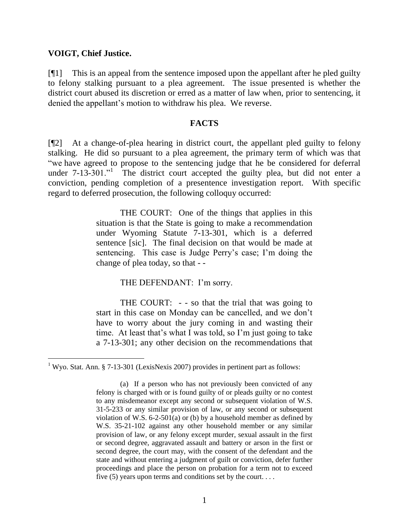### **VOIGT, Chief Justice.**

[¶1] This is an appeal from the sentence imposed upon the appellant after he pled guilty to felony stalking pursuant to a plea agreement. The issue presented is whether the district court abused its discretion or erred as a matter of law when, prior to sentencing, it denied the appellant's motion to withdraw his plea. We reverse.

### **FACTS**

[¶2] At a change-of-plea hearing in district court, the appellant pled guilty to felony stalking. He did so pursuant to a plea agreement, the primary term of which was that "we have agreed to propose to the sentencing judge that he be considered for deferral under  $7-13-301$ ." The district court accepted the guilty plea, but did not enter a conviction, pending completion of a presentence investigation report. With specific regard to deferred prosecution, the following colloquy occurred:

> THE COURT: One of the things that applies in this situation is that the State is going to make a recommendation under Wyoming Statute 7-13-301, which is a deferred sentence [sic]. The final decision on that would be made at sentencing. This case is Judge Perry's case; I'm doing the change of plea today, so that - -

> > THE DEFENDANT: I'm sorry.

THE COURT: - - so that the trial that was going to start in this case on Monday can be cancelled, and we don't have to worry about the jury coming in and wasting their time. At least that's what I was told, so I'm just going to take a 7-13-301; any other decision on the recommendations that

<sup>&</sup>lt;sup>1</sup> Wyo. Stat. Ann. § 7-13-301 (LexisNexis 2007) provides in pertinent part as follows:

<sup>(</sup>a) If a person who has not previously been convicted of any felony is charged with or is found guilty of or pleads guilty or no contest to any misdemeanor except any second or subsequent violation of W.S. 31-5-233 or any similar provision of law, or any second or subsequent violation of W.S. 6-2-501(a) or (b) by a household member as defined by W.S. 35-21-102 against any other household member or any similar provision of law, or any felony except murder, sexual assault in the first or second degree, aggravated assault and battery or arson in the first or second degree, the court may, with the consent of the defendant and the state and without entering a judgment of guilt or conviction, defer further proceedings and place the person on probation for a term not to exceed five  $(5)$  years upon terms and conditions set by the court....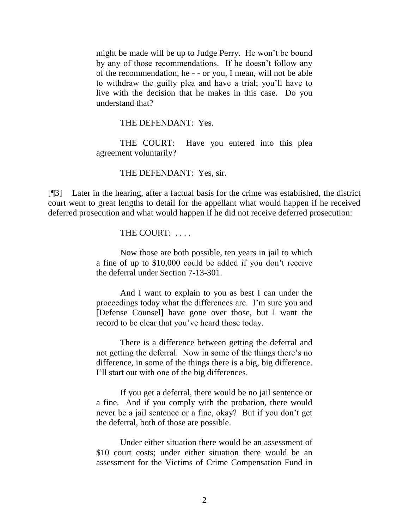might be made will be up to Judge Perry. He won't be bound by any of those recommendations. If he doesn't follow any of the recommendation, he - - or you, I mean, will not be able to withdraw the guilty plea and have a trial; you'll have to live with the decision that he makes in this case. Do you understand that?

THE DEFENDANT: Yes.

THE COURT: Have you entered into this plea agreement voluntarily?

#### THE DEFENDANT: Yes, sir.

[¶3] Later in the hearing, after a factual basis for the crime was established, the district court went to great lengths to detail for the appellant what would happen if he received deferred prosecution and what would happen if he did not receive deferred prosecution:

THE COURT:

Now those are both possible, ten years in jail to which a fine of up to \$10,000 could be added if you don't receive the deferral under Section 7-13-301.

And I want to explain to you as best I can under the proceedings today what the differences are. I'm sure you and [Defense Counsel] have gone over those, but I want the record to be clear that you've heard those today.

There is a difference between getting the deferral and not getting the deferral. Now in some of the things there's no difference, in some of the things there is a big, big difference. I'll start out with one of the big differences.

If you get a deferral, there would be no jail sentence or a fine. And if you comply with the probation, there would never be a jail sentence or a fine, okay? But if you don't get the deferral, both of those are possible.

Under either situation there would be an assessment of \$10 court costs; under either situation there would be an assessment for the Victims of Crime Compensation Fund in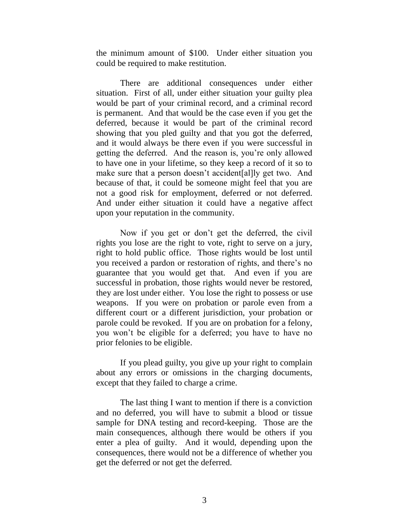the minimum amount of \$100. Under either situation you could be required to make restitution.

There are additional consequences under either situation. First of all, under either situation your guilty plea would be part of your criminal record, and a criminal record is permanent. And that would be the case even if you get the deferred, because it would be part of the criminal record showing that you pled guilty and that you got the deferred, and it would always be there even if you were successful in getting the deferred. And the reason is, you're only allowed to have one in your lifetime, so they keep a record of it so to make sure that a person doesn't accident[al]ly get two. And because of that, it could be someone might feel that you are not a good risk for employment, deferred or not deferred. And under either situation it could have a negative affect upon your reputation in the community.

Now if you get or don't get the deferred, the civil rights you lose are the right to vote, right to serve on a jury, right to hold public office. Those rights would be lost until you received a pardon or restoration of rights, and there's no guarantee that you would get that. And even if you are successful in probation, those rights would never be restored, they are lost under either. You lose the right to possess or use weapons. If you were on probation or parole even from a different court or a different jurisdiction, your probation or parole could be revoked. If you are on probation for a felony, you won't be eligible for a deferred; you have to have no prior felonies to be eligible.

If you plead guilty, you give up your right to complain about any errors or omissions in the charging documents, except that they failed to charge a crime.

The last thing I want to mention if there is a conviction and no deferred, you will have to submit a blood or tissue sample for DNA testing and record-keeping. Those are the main consequences, although there would be others if you enter a plea of guilty. And it would, depending upon the consequences, there would not be a difference of whether you get the deferred or not get the deferred.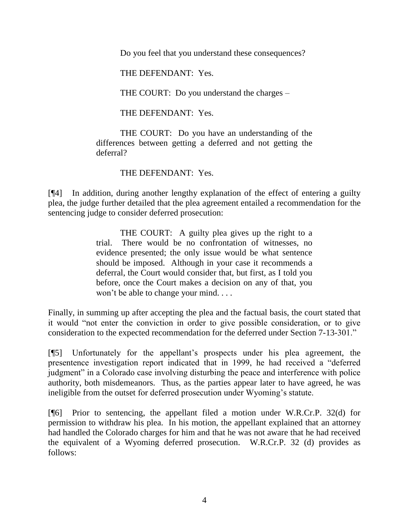Do you feel that you understand these consequences?

THE DEFENDANT: Yes.

THE COURT: Do you understand the charges –

THE DEFENDANT: Yes.

THE COURT: Do you have an understanding of the differences between getting a deferred and not getting the deferral?

THE DEFENDANT: Yes.

[¶4] In addition, during another lengthy explanation of the effect of entering a guilty plea, the judge further detailed that the plea agreement entailed a recommendation for the sentencing judge to consider deferred prosecution:

> THE COURT: A guilty plea gives up the right to a trial. There would be no confrontation of witnesses, no evidence presented; the only issue would be what sentence should be imposed. Although in your case it recommends a deferral, the Court would consider that, but first, as I told you before, once the Court makes a decision on any of that, you won't be able to change your mind. . . .

Finally, in summing up after accepting the plea and the factual basis, the court stated that it would "not enter the conviction in order to give possible consideration, or to give consideration to the expected recommendation for the deferred under Section 7-13-301."

[¶5] Unfortunately for the appellant's prospects under his plea agreement, the presentence investigation report indicated that in 1999, he had received a "deferred judgment" in a Colorado case involving disturbing the peace and interference with police authority, both misdemeanors. Thus, as the parties appear later to have agreed, he was ineligible from the outset for deferred prosecution under Wyoming's statute.

[¶6] Prior to sentencing, the appellant filed a motion under W.R.Cr.P. 32(d) for permission to withdraw his plea. In his motion, the appellant explained that an attorney had handled the Colorado charges for him and that he was not aware that he had received the equivalent of a Wyoming deferred prosecution. W.R.Cr.P. 32 (d) provides as follows: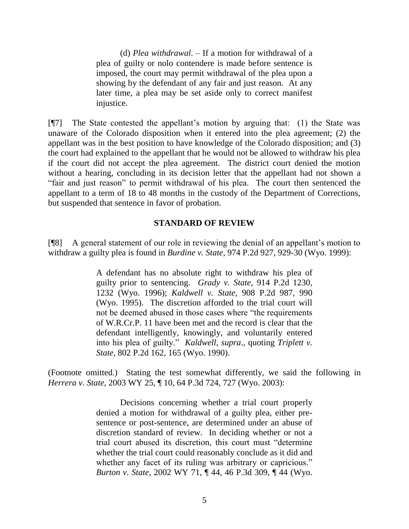(d) *Plea withdrawal*. – If a motion for withdrawal of a plea of guilty or nolo contendere is made before sentence is imposed, the court may permit withdrawal of the plea upon a showing by the defendant of any fair and just reason. At any later time, a plea may be set aside only to correct manifest injustice.

[¶7] The State contested the appellant's motion by arguing that: (1) the State was unaware of the Colorado disposition when it entered into the plea agreement; (2) the appellant was in the best position to have knowledge of the Colorado disposition; and (3) the court had explained to the appellant that he would not be allowed to withdraw his plea if the court did not accept the plea agreement. The district court denied the motion without a hearing, concluding in its decision letter that the appellant had not shown a "fair and just reason" to permit withdrawal of his plea. The court then sentenced the appellant to a term of 18 to 48 months in the custody of the Department of Corrections, but suspended that sentence in favor of probation.

### **STANDARD OF REVIEW**

[¶8] A general statement of our role in reviewing the denial of an appellant's motion to withdraw a guilty plea is found in *Burdine v. State*, 974 P.2d 927, 929-30 (Wyo. 1999):

> A defendant has no absolute right to withdraw his plea of guilty prior to sentencing. *Grady v. State*, 914 P.2d 1230, 1232 (Wyo. 1996); *Kaldwell v. State*, 908 P.2d 987, 990 (Wyo. 1995). The discretion afforded to the trial court will not be deemed abused in those cases where "the requirements" of W.R.Cr.P. 11 have been met and the record is clear that the defendant intelligently, knowingly, and voluntarily entered into his plea of guilty." *Kaldwell*, *supra*., quoting *Triplett v. State*, 802 P.2d 162, 165 (Wyo. 1990).

(Footnote omitted.) Stating the test somewhat differently, we said the following in *Herrera v. State*, 2003 WY 25, ¶ 10, 64 P.3d 724, 727 (Wyo. 2003):

> Decisions concerning whether a trial court properly denied a motion for withdrawal of a guilty plea, either presentence or post-sentence, are determined under an abuse of discretion standard of review. In deciding whether or not a trial court abused its discretion, this court must "determine" whether the trial court could reasonably conclude as it did and whether any facet of its ruling was arbitrary or capricious." *Burton v. State*, 2002 WY 71, ¶ 44, 46 P.3d 309, ¶ 44 (Wyo.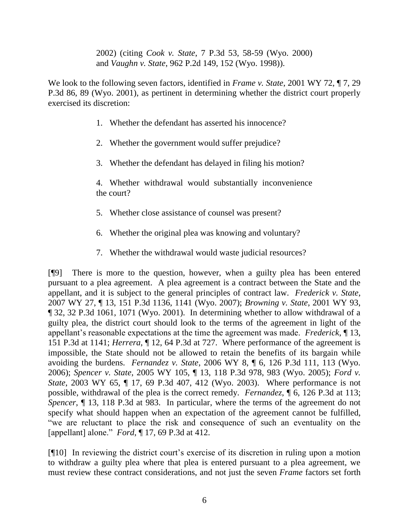2002) (citing *Cook v. State*, 7 P.3d 53, 58-59 (Wyo. 2000) and *Vaughn v. State*, 962 P.2d 149, 152 (Wyo. 1998)).

We look to the following seven factors, identified in *Frame v. State*, 2001 WY 72, ¶ 7, 29 P.3d 86, 89 (Wyo. 2001), as pertinent in determining whether the district court properly exercised its discretion:

- 1. Whether the defendant has asserted his innocence?
- 2. Whether the government would suffer prejudice?
- 3. Whether the defendant has delayed in filing his motion?

4. Whether withdrawal would substantially inconvenience the court?

- 5. Whether close assistance of counsel was present?
- 6. Whether the original plea was knowing and voluntary?
- 7. Whether the withdrawal would waste judicial resources?

[¶9] There is more to the question, however, when a guilty plea has been entered pursuant to a plea agreement. A plea agreement is a contract between the State and the appellant, and it is subject to the general principles of contract law. *Frederick v. State*, 2007 WY 27, ¶ 13, 151 P.3d 1136, 1141 (Wyo. 2007); *Browning v. State*, 2001 WY 93, ¶ 32, 32 P.3d 1061, 1071 (Wyo. 2001). In determining whether to allow withdrawal of a guilty plea, the district court should look to the terms of the agreement in light of the appellant's reasonable expectations at the time the agreement was made. *Frederick*, ¶ 13, 151 P.3d at 1141; *Herrera*, ¶ 12, 64 P.3d at 727. Where performance of the agreement is impossible, the State should not be allowed to retain the benefits of its bargain while avoiding the burdens. *Fernandez v. State*, 2006 WY 8, ¶ 6, 126 P.3d 111, 113 (Wyo. 2006); *Spencer v. State*, 2005 WY 105, ¶ 13, 118 P.3d 978, 983 (Wyo. 2005); *Ford v. State*, 2003 WY 65, 17, 69 P.3d 407, 412 (Wyo. 2003). Where performance is not possible, withdrawal of the plea is the correct remedy. *Fernandez*, ¶ 6, 126 P.3d at 113; *Spencer*, ¶ 13, 118 P.3d at 983. In particular, where the terms of the agreement do not specify what should happen when an expectation of the agreement cannot be fulfilled, ―we are reluctant to place the risk and consequence of such an eventuality on the [appellant] alone." *Ford*,  $\P$  17, 69 P.3d at 412.

[¶10] In reviewing the district court's exercise of its discretion in ruling upon a motion to withdraw a guilty plea where that plea is entered pursuant to a plea agreement, we must review these contract considerations, and not just the seven *Frame* factors set forth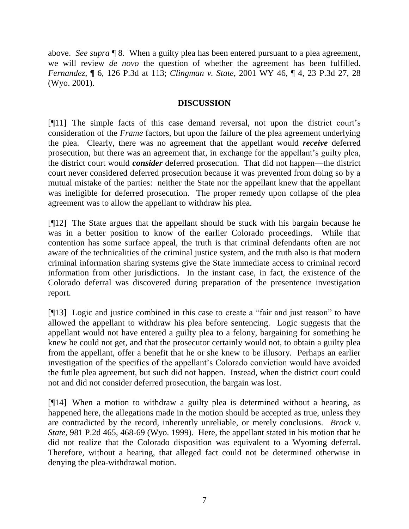above. *See supra* ¶ 8. When a guilty plea has been entered pursuant to a plea agreement, we will review *de novo* the question of whether the agreement has been fulfilled. *Fernandez*, ¶ 6, 126 P.3d at 113; *Clingman v. State*, 2001 WY 46, ¶ 4, 23 P.3d 27, 28 (Wyo. 2001).

## **DISCUSSION**

[¶11] The simple facts of this case demand reversal, not upon the district court's consideration of the *Frame* factors, but upon the failure of the plea agreement underlying the plea. Clearly, there was no agreement that the appellant would *receive* deferred prosecution, but there was an agreement that, in exchange for the appellant's guilty plea, the district court would *consider* deferred prosecution. That did not happen—the district court never considered deferred prosecution because it was prevented from doing so by a mutual mistake of the parties: neither the State nor the appellant knew that the appellant was ineligible for deferred prosecution. The proper remedy upon collapse of the plea agreement was to allow the appellant to withdraw his plea.

[¶12] The State argues that the appellant should be stuck with his bargain because he was in a better position to know of the earlier Colorado proceedings. While that contention has some surface appeal, the truth is that criminal defendants often are not aware of the technicalities of the criminal justice system, and the truth also is that modern criminal information sharing systems give the State immediate access to criminal record information from other jurisdictions. In the instant case, in fact, the existence of the Colorado deferral was discovered during preparation of the presentence investigation report.

[¶13] Logic and justice combined in this case to create a "fair and just reason" to have allowed the appellant to withdraw his plea before sentencing. Logic suggests that the appellant would not have entered a guilty plea to a felony, bargaining for something he knew he could not get, and that the prosecutor certainly would not, to obtain a guilty plea from the appellant, offer a benefit that he or she knew to be illusory. Perhaps an earlier investigation of the specifics of the appellant's Colorado conviction would have avoided the futile plea agreement, but such did not happen. Instead, when the district court could not and did not consider deferred prosecution, the bargain was lost.

[¶14] When a motion to withdraw a guilty plea is determined without a hearing, as happened here, the allegations made in the motion should be accepted as true, unless they are contradicted by the record, inherently unreliable, or merely conclusions. *Brock v. State*, 981 P.2d 465, 468-69 (Wyo. 1999). Here, the appellant stated in his motion that he did not realize that the Colorado disposition was equivalent to a Wyoming deferral. Therefore, without a hearing, that alleged fact could not be determined otherwise in denying the plea-withdrawal motion.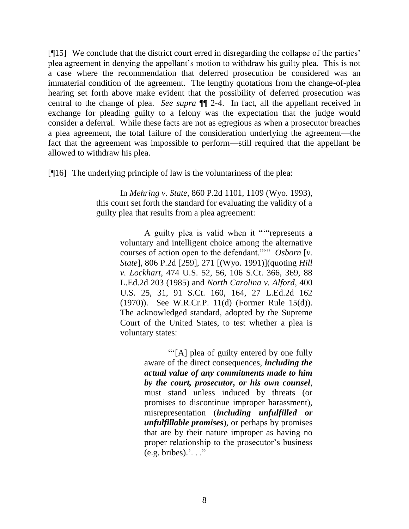[¶15] We conclude that the district court erred in disregarding the collapse of the parties' plea agreement in denying the appellant's motion to withdraw his guilty plea. This is not a case where the recommendation that deferred prosecution be considered was an immaterial condition of the agreement. The lengthy quotations from the change-of-plea hearing set forth above make evident that the possibility of deferred prosecution was central to the change of plea. *See supra* ¶¶ 2-4. In fact, all the appellant received in exchange for pleading guilty to a felony was the expectation that the judge would consider a deferral. While these facts are not as egregious as when a prosecutor breaches a plea agreement, the total failure of the consideration underlying the agreement—the fact that the agreement was impossible to perform—still required that the appellant be allowed to withdraw his plea.

[¶16] The underlying principle of law is the voluntariness of the plea:

In *Mehring v. State*, 860 P.2d 1101, 1109 (Wyo. 1993), this court set forth the standard for evaluating the validity of a guilty plea that results from a plea agreement:

> A guilty plea is valid when it ""represents a voluntary and intelligent choice among the alternative courses of action open to the defendant."" Osborn [v. *State*], 806 P.2d [259], 271 [(Wyo. 1991)](quoting *Hill v. Lockhart*, 474 U.S. 52, 56, 106 S.Ct. 366, 369, 88 L.Ed.2d 203 (1985) and *North Carolina v. Alford*, 400 U.S. 25, 31, 91 S.Ct. 160, 164, 27 L.Ed.2d 162 (1970)). See W.R.Cr.P. 11(d) (Former Rule 15(d)). The acknowledged standard, adopted by the Supreme Court of the United States, to test whether a plea is voluntary states:

> > ―‗[A] plea of guilty entered by one fully aware of the direct consequences, *including the actual value of any commitments made to him by the court, prosecutor, or his own counsel*, must stand unless induced by threats (or promises to discontinue improper harassment), misrepresentation (*including unfulfilled or unfulfillable promises*), or perhaps by promises that are by their nature improper as having no proper relationship to the prosecutor's business  $(e.g.  bribes).$ ' $\ldots$ ''